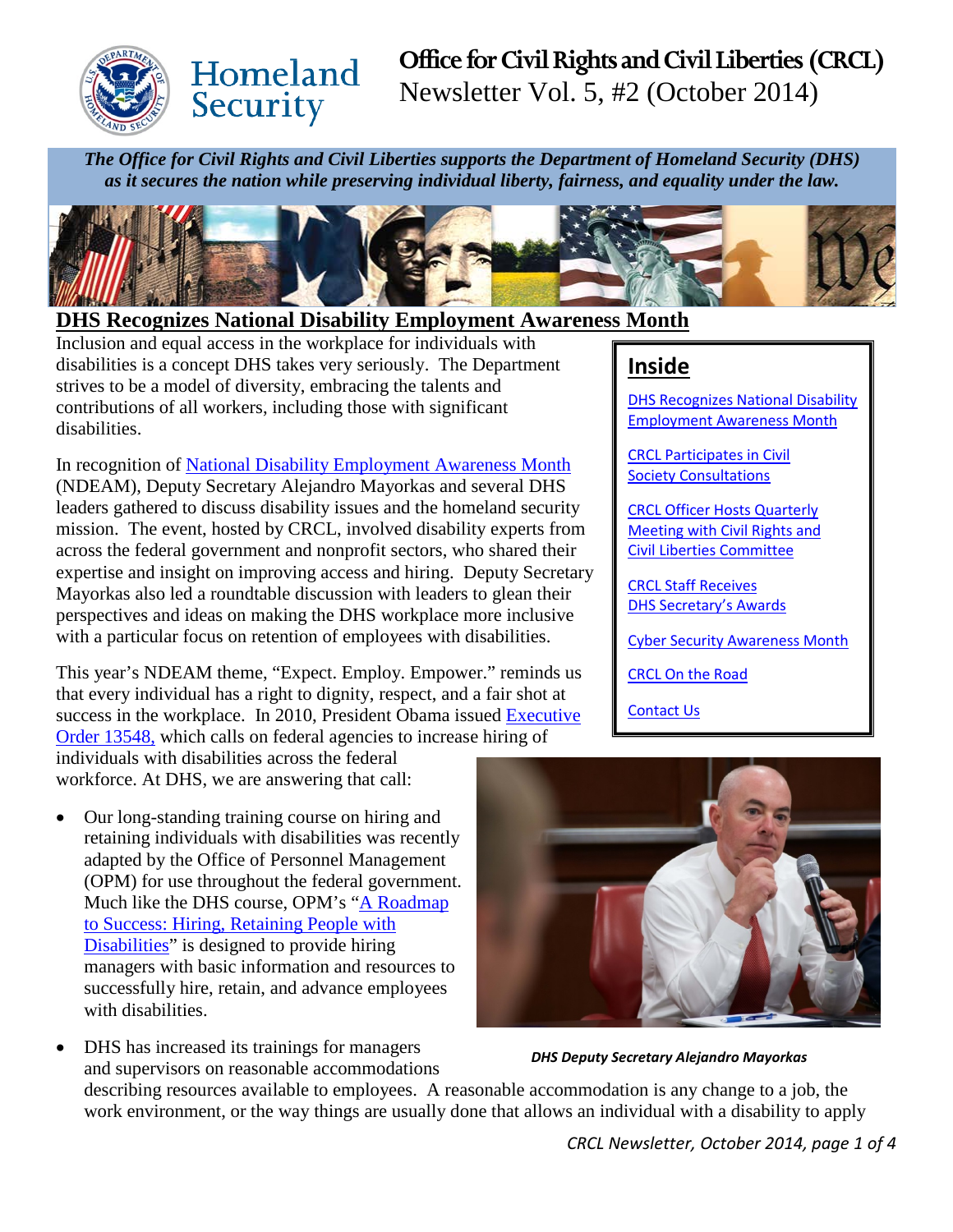

# Homeland Security

# **Office for Civil Rights and Civil Liberties (CRCL)** Newsletter Vol. 5, #2 (October 2014)

*The Office for Civil Rights and Civil Liberties supports the Department of Homeland Security (DHS) as it secures the nation while preserving individual liberty, fairness, and equality under the law.*



### <span id="page-0-0"></span>**DHS Recognizes National Disability Employment Awareness Month**

Inclusion and equal access in the workplace for individuals with disabilities is a concept DHS takes very seriously. The Department strives to be a model of diversity, embracing the talents and contributions of all workers, including those with significant disabilities.

In recognition of [National Disability Employment Awareness Month](http://www.dol.gov/odep/topics/ndeam/index-2014.htm) (NDEAM), Deputy Secretary Alejandro Mayorkas and several DHS leaders gathered to discuss disability issues and the homeland security mission. The event, hosted by CRCL, involved disability experts from across the federal government and nonprofit sectors, who shared their expertise and insight on improving access and hiring. Deputy Secretary Mayorkas also led a roundtable discussion with leaders to glean their perspectives and ideas on making the DHS workplace more inclusive with a particular focus on retention of employees with disabilities.

This year's NDEAM theme, "Expect. Employ. Empower." reminds us that every individual has a right to dignity, respect, and a fair shot at success in the workplace. In 2010, President Obama issued [Executive](http://www.whitehouse.gov/the-press-office/executive-order-increasing-federal-employment-individuals-with-disabilities)  [Order 13548,](http://www.whitehouse.gov/the-press-office/executive-order-increasing-federal-employment-individuals-with-disabilities) which calls on federal agencies to increase hiring of individuals with disabilities across the federal

workforce. At DHS, we are answering that call:

• Our long-standing training course on hiring and retaining individuals with disabilities was recently adapted by the Office of Personnel Management (OPM) for use throughout the federal government. Much like the DHS course, OPM's ["A Roadmap](http://www.hru.gov/course_catalog.aspx?cid=195&mgr=false)  [to Success: Hiring, Retaining People with](http://www.hru.gov/course_catalog.aspx?cid=195&mgr=false)  [Disabilities"](http://www.hru.gov/course_catalog.aspx?cid=195&mgr=false) is designed to provide hiring managers with basic information and resources to successfully hire, retain, and advance employees with disabilities.

• DHS has increased its trainings for managers



*DHS Deputy Secretary Alejandro Mayorkas*

and supervisors on reasonable accommodations describing resources available to employees. A reasonable accommodation is any change to a job, the work environment, or the way things are usually done that allows an individual with a disability to apply

## **Inside**

DHS Recognizes [National Disability](#page-0-0)  [Employment Awareness Month](#page-0-0)

[CRCL Participates in Civil](#page-1-0)  **[Society Consultations](#page-1-0)** 

[CRCL Officer Hosts](#page-1-1) Quarterly [Meeting with Civil Rights and](#page-1-1)  [Civil Liberties Committee](#page-1-1)

[CRCL Staff Receives](#page-2-0) [DHS Secretary's Awards](#page-2-0)

[Cyber Security Awareness Month](#page-2-1)

[CRCL On the Road](#page-3-0)

[Contact Us](#page-3-1)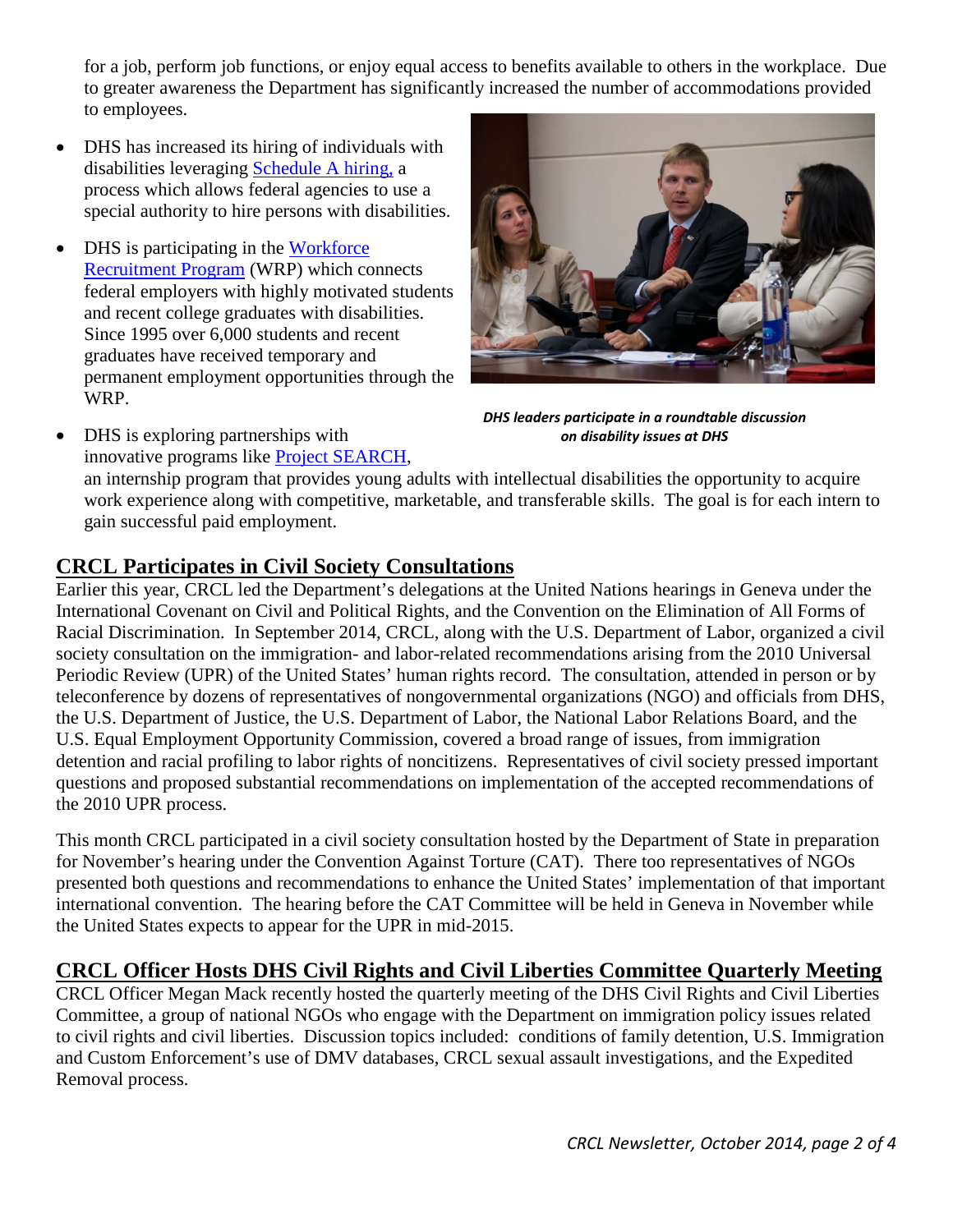for a job, perform job functions, or enjoy equal access to benefits available to others in the workplace. Due to greater awareness the Department has significantly increased the number of accommodations provided to employees.

- DHS has increased its hiring of individuals with disabilities leveraging [Schedule A hiring,](http://dhsconnect.dhs.gov/org/comp/crcl/Documents/1%20-%20Schedule%20A%20Brochure%208.5x11.pdf) a process which allows federal agencies to use a special authority to hire persons with disabilities.
- DHS is participating in the Workforce [Recruitment Program](https://wrp.gov/LoginPre.do?method=login) (WRP) which connects federal employers with highly motivated students and recent college graduates with disabilities. Since 1995 over 6,000 students and recent graduates have received temporary and permanent employment opportunities through the WRP.



*DHS leaders participate in a roundtable discussion on disability issues at DHS*

• DHS is exploring partnerships with innovative programs like [Project SEARCH,](http://www.projectsearch.us/Home.aspx) an internship program that provides young adults with intellectual disabilities the opportunity to acquire work experience along with competitive, marketable, and transferable skills. The goal is for each intern to gain successful paid employment.

### <span id="page-1-0"></span>**CRCL Participates in Civil Society Consultations**

Earlier this year, CRCL led the Department's delegations at the United Nations hearings in Geneva under the International Covenant on Civil and Political Rights, and the Convention on the Elimination of All Forms of Racial Discrimination. In September 2014, CRCL, along with the U.S. Department of Labor, organized a civil society consultation on the immigration- and labor-related recommendations arising from the 2010 Universal Periodic Review (UPR) of the United States' human rights record. The consultation, attended in person or by teleconference by dozens of representatives of nongovernmental organizations (NGO) and officials from DHS, the U.S. Department of Justice, the U.S. Department of Labor, the National Labor Relations Board, and the U.S. Equal Employment Opportunity Commission, covered a broad range of issues, from immigration detention and racial profiling to labor rights of noncitizens. Representatives of civil society pressed important questions and proposed substantial recommendations on implementation of the accepted recommendations of the 2010 UPR process.

This month CRCL participated in a civil society consultation hosted by the Department of State in preparation for November's hearing under the Convention Against Torture (CAT). There too representatives of NGOs presented both questions and recommendations to enhance the United States' implementation of that important international convention. The hearing before the CAT Committee will be held in Geneva in November while the United States expects to appear for the UPR in mid-2015.

### <span id="page-1-1"></span>**CRCL Officer Hosts DHS Civil Rights and Civil Liberties Committee Quarterly Meeting**

CRCL Officer Megan Mack recently hosted the quarterly meeting of the DHS Civil Rights and Civil Liberties Committee, a group of national NGOs who engage with the Department on immigration policy issues related to civil rights and civil liberties. Discussion topics included: conditions of family detention, U.S. Immigration and Custom Enforcement's use of DMV databases, CRCL sexual assault investigations, and the Expedited Removal process.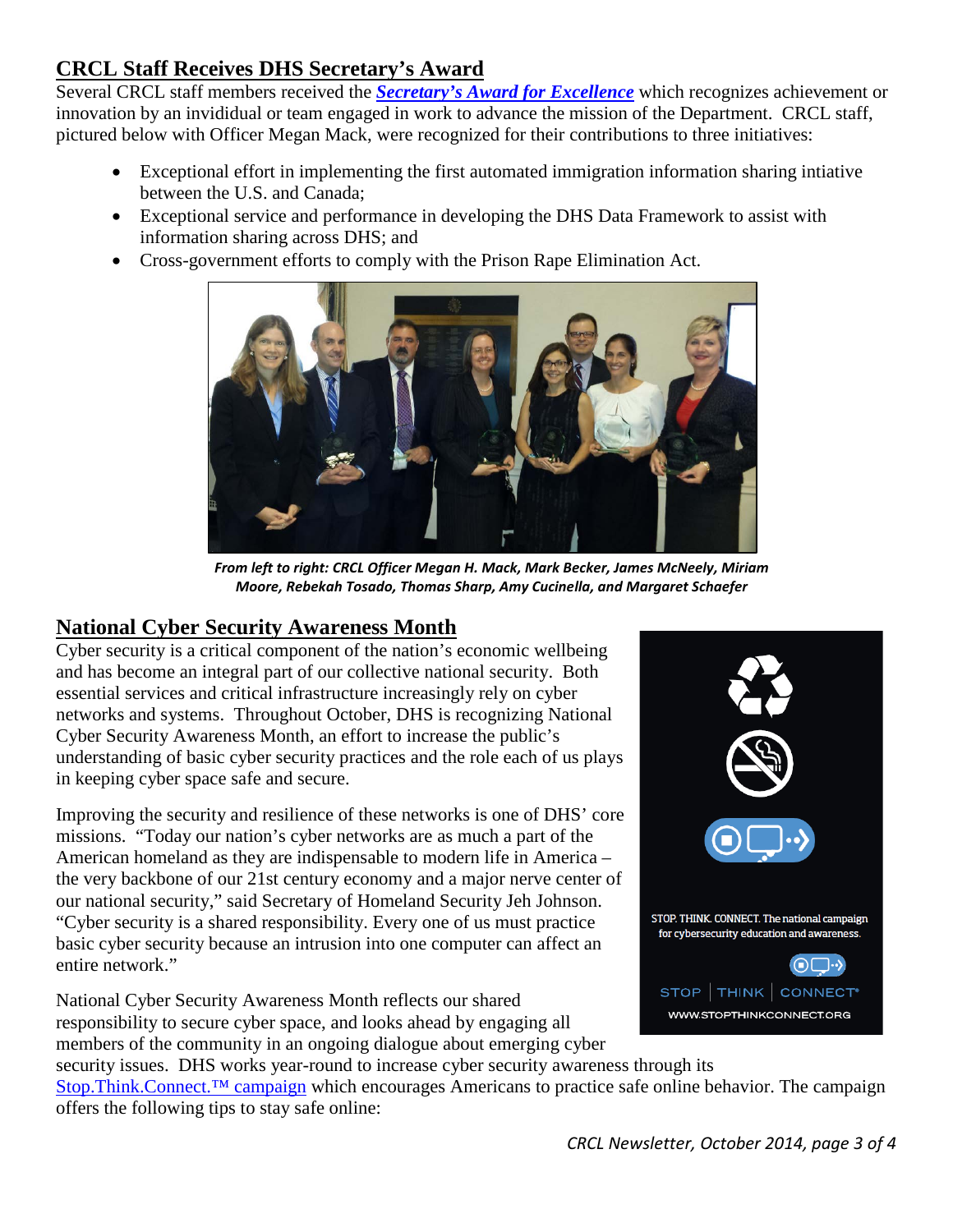### <span id="page-2-0"></span>**CRCL Staff Receives DHS Secretary's Award**

Several CRCL staff members received the *[Secretary's Award for Excellence](http://www.dhs.gov/2014-awards-excellence)* which recognizes achievement or innovation by an invididual or team engaged in work to advance the mission of the Department. CRCL staff, pictured below with Officer Megan Mack, were recognized for their contributions to three initiatives:

- Exceptional effort in implementing the first automated immigration information sharing intiative between the U.S. and Canada;
- Exceptional service and performance in developing the DHS Data Framework to assist with information sharing across DHS; and
- Cross-government efforts to comply with the Prison Rape Elimination Act.



*From left to right: CRCL Officer Megan H. Mack, Mark Becker, James McNeely, Miriam Moore, Rebekah Tosado, Thomas Sharp, Amy Cucinella, and Margaret Schaefer*

### <span id="page-2-1"></span>**National Cyber Security Awareness Month**

Cyber security is a critical component of the nation's economic wellbeing and has become an integral part of our collective national security. Both essential services and critical infrastructure increasingly rely on cyber networks and systems. Throughout October, DHS is recognizing National Cyber Security Awareness Month, an effort to increase the public's understanding of basic cyber security practices and the role each of us plays in keeping cyber space safe and secure.

Improving the security and resilience of these networks is one of DHS' core missions. "Today our nation's cyber networks are as much a part of the American homeland as they are indispensable to modern life in America – the very backbone of our 21st century economy and a major nerve center of our national security," said Secretary of Homeland Security Jeh Johnson. "Cyber security is a shared responsibility. Every one of us must practice basic cyber security because an intrusion into one computer can affect an entire network."

National Cyber Security Awareness Month reflects our shared responsibility to secure cyber space, and looks ahead by engaging all members of the community in an ongoing dialogue about emerging cyber



security issues. DHS works year-round to increase cyber security awareness through its [Stop.Think.Connect.™ campaign](http://stcguide.com/) which encourages Americans to practice safe online behavior. The campaign offers the following tips to stay safe online: